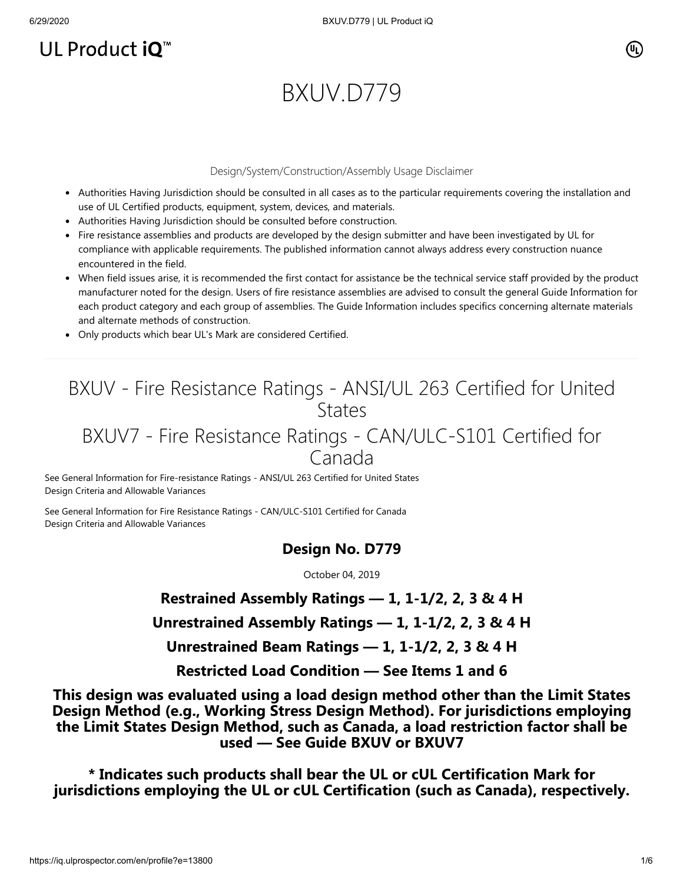# UL Product  $iQ^m$

## (Սլ՝

# BXUV.D779

#### Design/System/Construction/Assembly Usage Disclaimer

- Authorities Having Jurisdiction should be consulted in all cases as to the particular requirements covering the installation and use of UL Certified products, equipment, system, devices, and materials.
- Authorities Having Jurisdiction should be consulted before construction.
- Fire resistance assemblies and products are developed by the design submitter and have been investigated by UL for compliance with applicable requirements. The published information cannot always address every construction nuance encountered in the field.
- When field issues arise, it is recommended the first contact for assistance be the technical service staff provided by the product manufacturer noted for the design. Users of fire resistance assemblies are advised to consult the general Guide Information for each product category and each group of assemblies. The Guide Information includes specifics concerning alternate materials and alternate methods of construction.
- Only products which bear UL's Mark are considered Certified.

# BXUV - Fire Resistance Ratings - ANSI/UL 263 Certified for United **States**

## BXUV7 - Fire Resistance Ratings - CAN/ULC-S101 Certified for Canada

[See General Information for Fire-resistance Ratings - ANSI/UL 263 Certified for United States](https://iq.ulprospector.com/cgi-bin/XYV/template/LISEXT/1FRAME/showpage.html?name=BXUV.GuideInfo&ccnshorttitle=Fire-resistance+Ratings+-+ANSI/UL+263&objid=1074327030&cfgid=1073741824&version=versionless&parent_id=1073984818&sequence=1) Design Criteria and Allowable Variances

[See General Information for Fire Resistance Ratings - CAN/ULC-S101 Certified for Canada](https://iq.ulprospector.com/cgi-bin/XYV/template/LISEXT/1FRAME/showpage.html?name=BXUV7.GuideInfo&ccnshorttitle=Fire+Resistance+Ratings+-+CAN/ULC-S101+Certified+for+Canada&objid=1074205658&cfgid=1073741824&version=versionless&parent_id=1073984820&sequence=1) Design Criteria and Allowable Variances

#### **Design No. D779**

October 04, 2019

**Restrained Assembly Ratings — 1, 1-1/2, 2, 3 & 4 H**

**Unrestrained Assembly Ratings — 1, 1-1/2, 2, 3 & 4 H**

**Unrestrained Beam Ratings — 1, 1-1/2, 2, 3 & 4 H**

**Restricted Load Condition — See Items 1 and 6**

**This design was evaluated using a load design method other than the Limit States Design Method (e.g., Working Stress Design Method). For jurisdictions employing the Limit States Design Method, such as Canada, a load restriction factor shall be used — See Guide [BXUV](https://database.ul.com/cgi-bin/XYV/template/LISEXT/1FRAME/showpage.html?name=BXUV.GuideInfo&ccnshorttitle=Fire-resistance+Ratings+-+ANSI/UL+263&objid=1074327030&cfgid=1073741824&version=versionless&parent_id=1073984818&sequence=1) or [BXUV7](https://database.ul.com/cgi-bin/XYV/template/LISEXT/1FRAME/showpage.html?name=BXUV7.GuideInfo&ccnshorttitle=Fire+Resistance+Ratings+-+CAN/ULC-S101M+Certified+for+Canada&objid=1074205658&cfgid=1073741824&version=versionless&parent_id=1073984820&sequence=1)**

**\* Indicates such products shall bear the UL or cUL Certification Mark for jurisdictions employing the UL or cUL Certification (such as Canada), respectively.**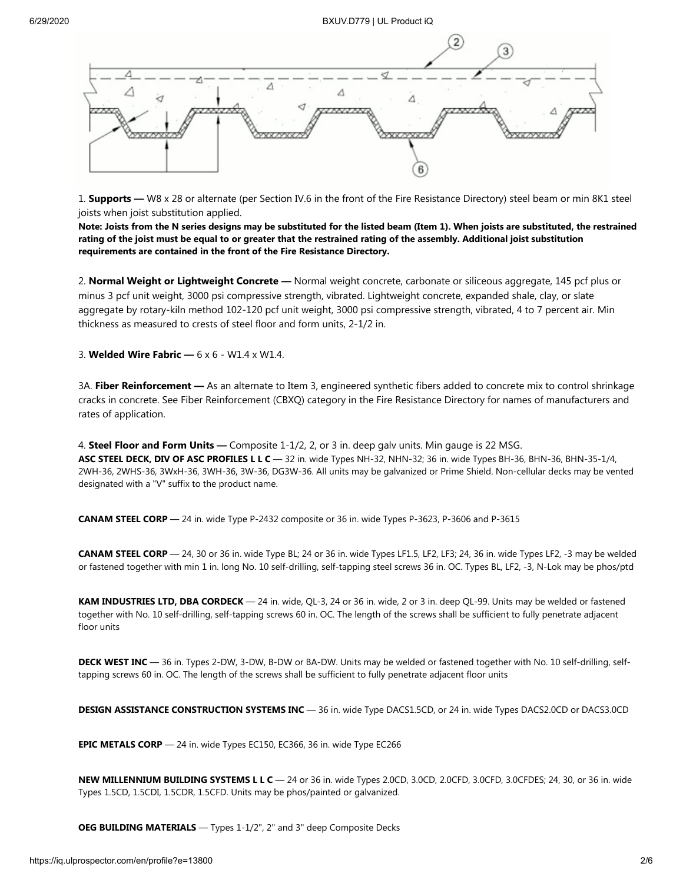

1. **Supports —** W8 x 28 or alternate (per Section IV.6 in the front of the Fire Resistance Directory) steel beam or min 8K1 steel joists when joist substitution applied.

**Note: Joists from the N series designs may be substituted for the listed beam (Item 1). When joists are substituted, the restrained rating of the joist must be equal to or greater that the restrained rating of the assembly. Additional joist substitution requirements are contained in the front of the Fire Resistance Directory.**

2. **Normal Weight or Lightweight Concrete —** Normal weight concrete, carbonate or siliceous aggregate, 145 pcf plus or minus 3 pcf unit weight, 3000 psi compressive strength, vibrated. Lightweight concrete, expanded shale, clay, or slate aggregate by rotary-kiln method 102-120 pcf unit weight, 3000 psi compressive strength, vibrated, 4 to 7 percent air. Min thickness as measured to crests of steel floor and form units, 2-1/2 in.

3. **Welded Wire Fabric —** 6 x 6 - W1.4 x W1.4.

3A. **Fiber Reinforcement —** As an alternate to Item 3, engineered synthetic fibers added to concrete mix to control shrinkage cracks in concrete. See Fiber Reinforcement (CBXQ) category in the Fire Resistance Directory for names of manufacturers and rates of application.

4. **Steel Floor and Form Units —** Composite 1-1/2, 2, or 3 in. deep galv units. Min gauge is 22 MSG. **ASC STEEL DECK, DIV OF ASC PROFILES L L C** — 32 in. wide Types NH-32, NHN-32; 36 in. wide Types BH-36, BHN-36, BHN-35-1/4, 2WH-36, 2WHS-36, 3WxH-36, 3WH-36, 3W-36, DG3W-36. All units may be galvanized or Prime Shield. Non-cellular decks may be vented designated with a "V" suffix to the product name.

**CANAM STEEL CORP** — 24 in. wide Type P-2432 composite or 36 in. wide Types P-3623, P-3606 and P-3615

**CANAM STEEL CORP** — 24, 30 or 36 in. wide Type BL; 24 or 36 in. wide Types LF1.5, LF2, LF3; 24, 36 in. wide Types LF2, -3 may be welded or fastened together with min 1 in. long No. 10 self-drilling, self-tapping steel screws 36 in. OC. Types BL, LF2, -3, N-Lok may be phos/ptd

**KAM INDUSTRIES LTD, DBA CORDECK** — 24 in. wide, QL-3, 24 or 36 in. wide, 2 or 3 in. deep QL-99. Units may be welded or fastened together with No. 10 self-drilling, self-tapping screws 60 in. OC. The length of the screws shall be sufficient to fully penetrate adjacent floor units

**DECK WEST INC** — 36 in. Types 2-DW, 3-DW, B-DW or BA-DW. Units may be welded or fastened together with No. 10 self-drilling, selftapping screws 60 in. OC. The length of the screws shall be sufficient to fully penetrate adjacent floor units

**DESIGN ASSISTANCE CONSTRUCTION SYSTEMS INC** — 36 in. wide Type DACS1.5CD, or 24 in. wide Types DACS2.0CD or DACS3.0CD

**EPIC METALS CORP** — 24 in. wide Types EC150, EC366, 36 in. wide Type EC266

**NEW MILLENNIUM BUILDING SYSTEMS L L C** — 24 or 36 in. wide Types 2.0CD, 3.0CD, 2.0CFD, 3.0CFD, 3.0CFDES; 24, 30, or 36 in. wide Types 1.5CD, 1.5CDI, 1.5CDR, 1.5CFD. Units may be phos/painted or galvanized.

**OEG BUILDING MATERIALS** — Types 1-1/2", 2" and 3" deep Composite Decks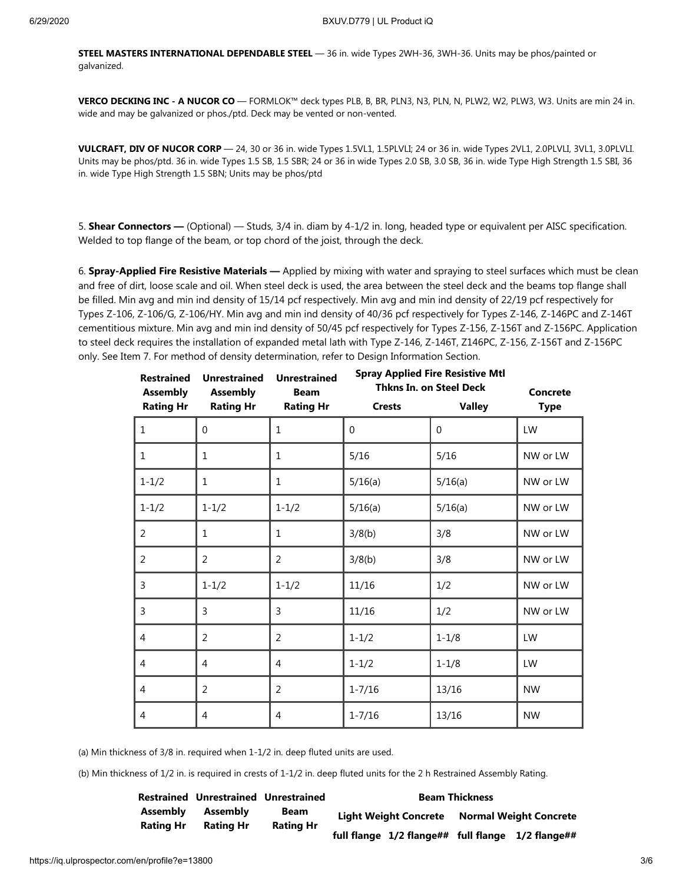**STEEL MASTERS INTERNATIONAL DEPENDABLE STEEL** — 36 in. wide Types 2WH-36, 3WH-36. Units may be phos/painted or galvanized.

**VERCO DECKING INC - A NUCOR CO** — FORMLOK™ deck types PLB, B, BR, PLN3, N3, PLN, N, PLW2, W2, PLW3, W3. Units are min 24 in. wide and may be galvanized or phos./ptd. Deck may be vented or non-vented.

**VULCRAFT, DIV OF NUCOR CORP** — 24, 30 or 36 in. wide Types 1.5VL1, 1.5PLVLI; 24 or 36 in. wide Types 2VL1, 2.0PLVLI, 3VL1, 3.0PLVLI. Units may be phos/ptd. 36 in. wide Types 1.5 SB, 1.5 SBR; 24 or 36 in wide Types 2.0 SB, 3.0 SB, 36 in. wide Type High Strength 1.5 SBI, 36 in. wide Type High Strength 1.5 SBN; Units may be phos/ptd

5. **Shear Connectors —** (Optional) — Studs, 3/4 in. diam by 4-1/2 in. long, headed type or equivalent per AISC specification. Welded to top flange of the beam, or top chord of the joist, through the deck.

6. **Spray-Applied Fire Resistive Materials —** Applied by mixing with water and spraying to steel surfaces which must be clean and free of dirt, loose scale and oil. When steel deck is used, the area between the steel deck and the beams top flange shall be filled. Min avg and min ind density of 15/14 pcf respectively. Min avg and min ind density of 22/19 pcf respectively for Types Z-106, Z-106/G, Z-106/HY. Min avg and min ind density of 40/36 pcf respectively for Types Z-146, Z-146PC and Z-146T cementitious mixture. Min avg and min ind density of 50/45 pcf respectively for Types Z-156, Z-156T and Z-156PC. Application to steel deck requires the installation of expanded metal lath with Type Z-146, Z-146T, Z146PC, Z-156, Z-156T and Z-156PC only. See Item 7. For method of density determination, refer to Design Information Section.

| <b>Restrained</b><br><b>Assembly</b> | <b>Unrestrained</b><br><b>Assembly</b> | <b>Unrestrained</b><br><b>Beam</b> | <b>Spray Applied Fire Resistive Mtl</b><br><b>Thkns In. on Steel Deck</b><br>Concrete |               |             |
|--------------------------------------|----------------------------------------|------------------------------------|---------------------------------------------------------------------------------------|---------------|-------------|
| <b>Rating Hr</b>                     | <b>Rating Hr</b>                       | <b>Rating Hr</b>                   | <b>Crests</b>                                                                         | <b>Valley</b> | <b>Type</b> |
| $\mathbf{1}$                         | $\Omega$                               | 1                                  | $\Omega$                                                                              | $\Omega$      | LW          |
| 1                                    | $\mathbf{1}$                           | 1                                  | 5/16                                                                                  | 5/16          | NW or LW    |
| $1 - 1/2$                            | $\mathbf{1}$                           | 1                                  | 5/16(a)                                                                               | 5/16(a)       | NW or LW    |
| $1 - 1/2$                            | $1 - 1/2$                              | $1 - 1/2$                          | 5/16(a)                                                                               | 5/16(a)       | NW or LW    |
| $\overline{2}$                       | $\mathbf{1}$                           | $\mathbf{1}$                       | 3/8(b)                                                                                | 3/8           | NW or LW    |
| $\overline{2}$                       | 2                                      | 2                                  | 3/8(b)                                                                                | 3/8           | NW or LW    |
| 3                                    | $1 - 1/2$                              | $1 - 1/2$                          | 11/16                                                                                 | 1/2           | NW or LW    |
| 3                                    | 3                                      | 3                                  | 11/16                                                                                 | 1/2           | NW or LW    |
| 4                                    | 2                                      | 2                                  | $1 - 1/2$                                                                             | $1 - 1/8$     | LW          |
| 4                                    | $\overline{4}$                         | 4                                  | $1 - 1/2$                                                                             | $1 - 1/8$     | LW          |
| $\overline{4}$                       | $\overline{2}$                         | 2                                  | $1 - 7/16$                                                                            | 13/16         | <b>NW</b>   |
| 4                                    | 4                                      | 4                                  | $1 - 7/16$                                                                            | 13/16         | <b>NW</b>   |

(a) Min thickness of 3/8 in. required when 1-1/2 in. deep fluted units are used.

(b) Min thickness of 1/2 in. is required in crests of 1-1/2 in. deep fluted units for the 2 h Restrained Assembly Rating.

|                                                | Restrained Unrestrained Unrestrained |                              | <b>Beam Thickness</b>                             |  |  |
|------------------------------------------------|--------------------------------------|------------------------------|---------------------------------------------------|--|--|
| Assembly<br>Assembly<br>Rating Hr<br>Rating Hr | Beam                                 | <b>Light Weight Concrete</b> | <b>Normal Weight Concrete</b>                     |  |  |
|                                                |                                      | <b>Rating Hr</b>             | full flange 1/2 flange## full flange 1/2 flange## |  |  |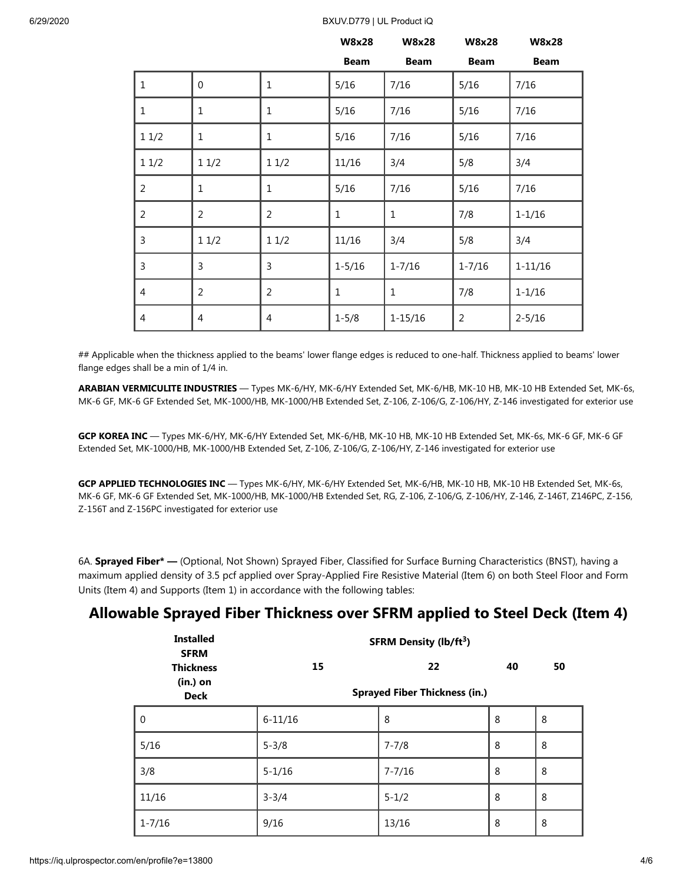#### 6/29/2020 BXUV.D779 | UL Product iQ

|                |                |                | <b>W8x28</b> | <b>W8x28</b> | <b>W8x28</b>   | <b>W8x28</b> |
|----------------|----------------|----------------|--------------|--------------|----------------|--------------|
|                |                |                | <b>Beam</b>  | <b>Beam</b>  | <b>Beam</b>    | <b>Beam</b>  |
| $\mathbf 1$    | $\mathbf 0$    | $\mathbf{1}$   | 5/16         | 7/16         | 5/16           | 7/16         |
| $\mathbf 1$    | $\mathbf{1}$   | $\mathbf 1$    | 5/16         | 7/16         | 5/16           | 7/16         |
| 11/2           | $\mathbf 1$    | $\mathbf{1}$   | 5/16         | 7/16         | 5/16           | 7/16         |
| $1\,1/2$       | 11/2           | 11/2           | 11/16        | 3/4          | 5/8            | 3/4          |
| $\overline{2}$ | $\mathbf 1$    | 1              | 5/16         | 7/16         | 5/16           | 7/16         |
| $\overline{2}$ | $\overline{2}$ | $\overline{2}$ | $\mathbf{1}$ | $\mathbf 1$  | 7/8            | $1 - 1/16$   |
| 3              | 11/2           | 11/2           | 11/16        | 3/4          | 5/8            | 3/4          |
| 3              | 3              | 3              | $1 - 5/16$   | $1 - 7/16$   | $1 - 7/16$     | $1 - 11/16$  |
| $\overline{4}$ | $\overline{2}$ | $\overline{2}$ | $\mathbf{1}$ | $\mathbf{1}$ | 7/8            | $1 - 1/16$   |
| 4              | $\overline{4}$ | 4              | $1 - 5/8$    | $1 - 15/16$  | $\overline{2}$ | $2 - 5/16$   |

## Applicable when the thickness applied to the beams' lower flange edges is reduced to one-half. Thickness applied to beams' lower flange edges shall be a min of 1/4 in.

**ARABIAN VERMICULITE INDUSTRIES** — Types MK-6/HY, MK-6/HY Extended Set, MK-6/HB, MK-10 HB, MK-10 HB Extended Set, MK-6s, MK-6 GF, MK-6 GF Extended Set, MK-1000/HB, MK-1000/HB Extended Set, Z-106, Z-106/G, Z-106/HY, Z-146 investigated for exterior use

**GCP KOREA INC** — Types MK-6/HY, MK-6/HY Extended Set, MK-6/HB, MK-10 HB, MK-10 HB Extended Set, MK-6s, MK-6 GF, MK-6 GF Extended Set, MK-1000/HB, MK-1000/HB Extended Set, Z-106, Z-106/G, Z-106/HY, Z-146 investigated for exterior use

**GCP APPLIED TECHNOLOGIES INC** — Types MK-6/HY, MK-6/HY Extended Set, MK-6/HB, MK-10 HB, MK-10 HB Extended Set, MK-6s, MK-6 GF, MK-6 GF Extended Set, MK-1000/HB, MK-1000/HB Extended Set, RG, Z-106, Z-106/G, Z-106/HY, Z-146, Z-146T, Z146PC, Z-156, Z-156T and Z-156PC investigated for exterior use

6A. **Sprayed Fiber\* —** (Optional, Not Shown) Sprayed Fiber, Classified for Surface Burning Characteristics (BNST), having a maximum applied density of 3.5 pcf applied over Spray-Applied Fire Resistive Material (Item 6) on both Steel Floor and Form Units (Item 4) and Supports (Item 1) in accordance with the following tables:

#### **Allowable Sprayed Fiber Thickness over SFRM applied to Steel Deck (Item 4)**

| <b>Installed</b><br><b>SFRM</b> | <b>SFRM Density (lb/ft3)</b>         |            |    |    |  |  |  |
|---------------------------------|--------------------------------------|------------|----|----|--|--|--|
| <b>Thickness</b>                | 15                                   | 22         | 40 | 50 |  |  |  |
| $(in.)$ on<br><b>Deck</b>       | <b>Sprayed Fiber Thickness (in.)</b> |            |    |    |  |  |  |
| $\mathbf 0$                     | $6 - 11/16$                          | 8          | 8  | 8  |  |  |  |
| 5/16                            | $5 - 3/8$                            | $7 - 7/8$  | 8  | 8  |  |  |  |
| 3/8                             | $5 - 1/16$                           | $7 - 7/16$ | 8  | 8  |  |  |  |
| 11/16                           | $3 - 3/4$                            | $5 - 1/2$  | 8  | 8  |  |  |  |
| $1 - 7/16$                      | 9/16                                 | 13/16      | 8  | 8  |  |  |  |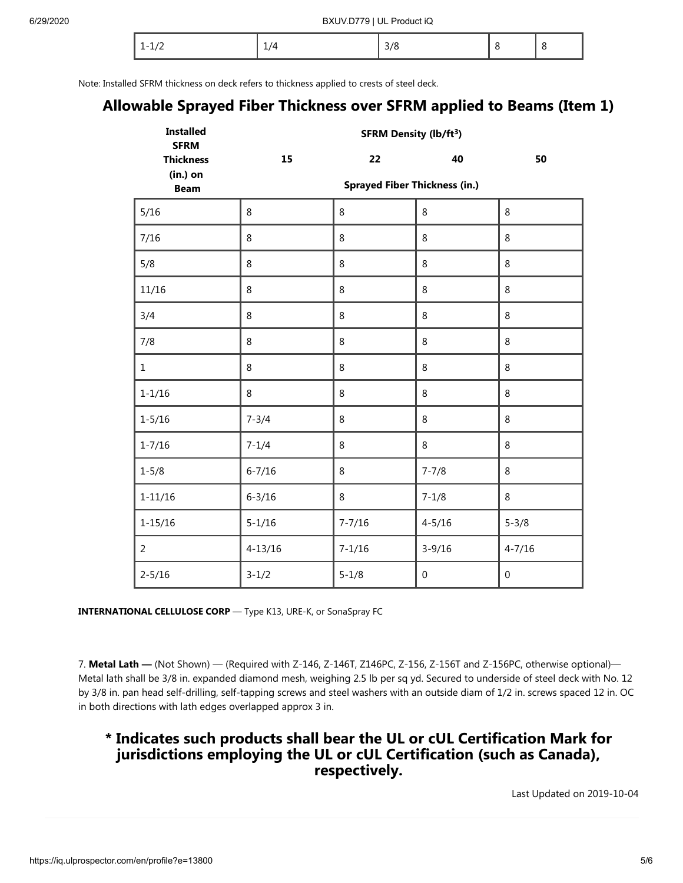| - |  |  |  |  |
|---|--|--|--|--|
|---|--|--|--|--|

Note: Installed SFRM thickness on deck refers to thickness applied to crests of steel deck.

### **Allowable Sprayed Fiber Thickness over SFRM applied to Beams (Item 1)**

| <b>Installed</b><br><b>SFRM</b> | <b>SFRM Density (lb/ft3)</b> |                                      |             |             |  |  |
|---------------------------------|------------------------------|--------------------------------------|-------------|-------------|--|--|
| <b>Thickness</b>                | 15                           | 22                                   | 40          | 50          |  |  |
| (in.) on<br><b>Beam</b>         |                              | <b>Sprayed Fiber Thickness (in.)</b> |             |             |  |  |
| 5/16                            | 8                            | 8                                    | 8           | 8           |  |  |
| 7/16                            | 8                            | 8                                    | 8           | 8           |  |  |
| 5/8                             | 8                            | 8                                    | 8           | 8           |  |  |
| 11/16                           | 8                            | 8                                    | 8           | 8           |  |  |
| 3/4                             | 8                            | 8                                    | 8           | 8           |  |  |
| 7/8                             | 8                            | 8                                    | 8           | 8           |  |  |
| $\mathbf{1}$                    | 8                            | 8                                    | 8           | 8           |  |  |
| $1 - 1/16$                      | 8                            | 8                                    | 8           | 8           |  |  |
| $1 - 5/16$                      | $7 - 3/4$                    | 8                                    | 8           | 8           |  |  |
| $1 - 7/16$                      | $7 - 1/4$                    | 8                                    | 8           | 8           |  |  |
| $1 - 5/8$                       | $6 - 7/16$                   | $\,8\,$                              | $7 - 7/8$   | 8           |  |  |
| $1 - 11/16$                     | $6 - 3/16$                   | 8                                    | $7 - 1/8$   | 8           |  |  |
| $1 - 15/16$                     | $5 - 1/16$                   | $7 - 7/16$                           | $4 - 5/16$  | $5 - 3/8$   |  |  |
| $\overline{a}$                  | $4 - 13/16$                  | $7 - 1/16$                           | $3 - 9/16$  | $4 - 7/16$  |  |  |
| $2 - 5/16$                      | $3 - 1/2$                    | $5 - 1/8$                            | $\mathbf 0$ | $\mathbf 0$ |  |  |

**INTERNATIONAL CELLULOSE CORP** — Type K13, URE-K, or SonaSpray FC

7. Metal Lath — (Not Shown) — (Required with Z-146, Z-146T, Z146PC, Z-156, Z-156T and Z-156PC, otherwise optional)— Metal lath shall be 3/8 in. expanded diamond mesh, weighing 2.5 lb per sq yd. Secured to underside of steel deck with No. 12 by 3/8 in. pan head self-drilling, self-tapping screws and steel washers with an outside diam of 1/2 in. screws spaced 12 in. OC in both directions with lath edges overlapped approx 3 in.

#### **\* Indicates such products shall bear the UL or cUL Certification Mark for jurisdictions employing the UL or cUL Certification (such as Canada), respectively.**

[Last Updated](javascript:openit() on 2019-10-04